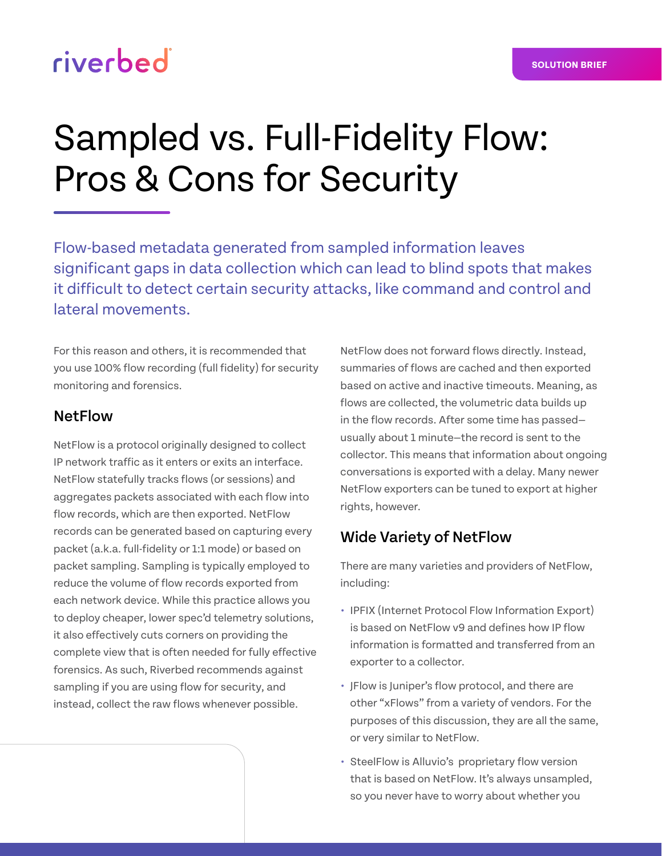## riverbed

# Sampled vs. Full-Fidelity Flow: Pros & Cons for Security

Flow-based metadata generated from sampled information leaves significant gaps in data collection which can lead to blind spots that makes it difficult to detect certain security attacks, like command and control and lateral movements.

For this reason and others, it is recommended that you use 100% flow recording (full fidelity) for security monitoring and forensics.

#### **NetFlow**

NetFlow is a protocol originally designed to collect IP network traffic as it enters or exits an interface. NetFlow statefully tracks flows (or sessions) and aggregates packets associated with each flow into flow records, which are then exported. NetFlow records can be generated based on capturing every packet (a.k.a. full-fidelity or 1:1 mode) or based on packet sampling. Sampling is typically employed to reduce the volume of flow records exported from each network device. While this practice allows you to deploy cheaper, lower spec'd telemetry solutions, it also effectively cuts corners on providing the complete view that is often needed for fully effective forensics. As such, Riverbed recommends against sampling if you are using flow for security, and instead, collect the raw flows whenever possible.

NetFlow does not forward flows directly. Instead, summaries of flows are cached and then exported based on active and inactive timeouts. Meaning, as flows are collected, the volumetric data builds up in the flow records. After some time has passed usually about 1 minute—the record is sent to the collector. This means that information about ongoing conversations is exported with a delay. Many newer NetFlow exporters can be tuned to export at higher rights, however.

### Wide Variety of NetFlow

There are many varieties and providers of NetFlow, including:

- **•** IPFIX (Internet Protocol Flow Information Export) is based on NetFlow v9 and defines how IP flow information is formatted and transferred from an exporter to a collector.
- **•** JFlow is Juniper's flow protocol, and there are other "xFlows" from a variety of vendors. For the purposes of this discussion, they are all the same, or very similar to NetFlow.
- **•** SteelFlow is Alluvio's proprietary flow version that is based on NetFlow. It's always unsampled, so you never have to worry about whether you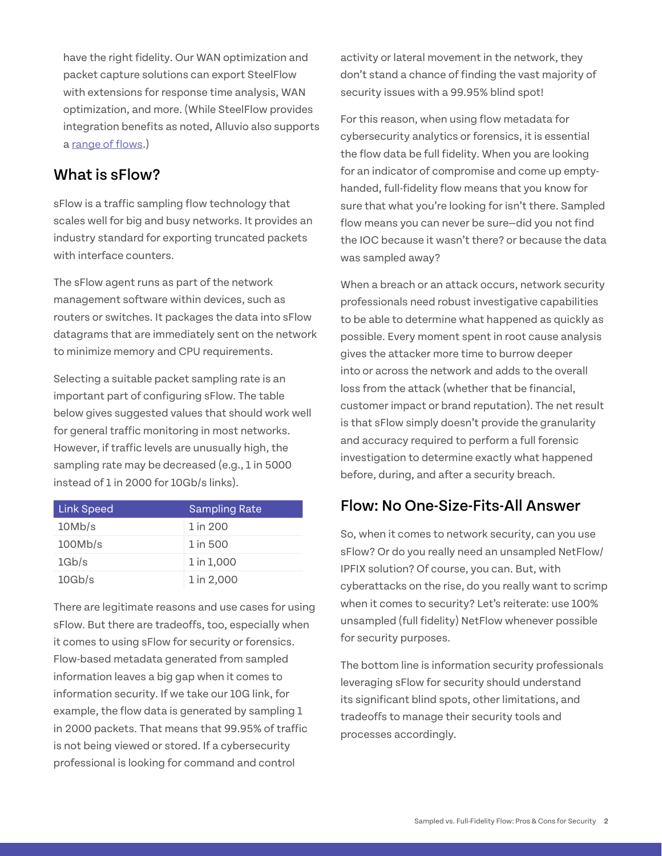have the right fidelity. Our WAN optimization and packet capture solutions can export SteelFlow with extensions for response time analysis, WAN optimization, and more. (While SteelFlow provides integration benefits as noted, Alluvio also supports a [range of flows](https://www.riverbed.com/products/npm/flow-gateway.html).)

#### What is sFlow?

sFlow is a traffic sampling flow technology that scales well for big and busy networks. It provides an industry standard for exporting truncated packets with interface counters.

The sFlow agent runs as part of the network management software within devices, such as routers or switches. It packages the data into sFlow datagrams that are immediately sent on the network to minimize memory and CPU requirements.

Selecting a suitable packet sampling rate is an important part of configuring sFlow. The table below gives suggested values that should work well for general traffic monitoring in most networks. However, if traffic levels are unusually high, the sampling rate may be decreased (e.g., 1 in 5000 instead of 1 in 2000 for 10Gb/s links).

| <b>Link Speed</b> | <b>Sampling Rate</b> |
|-------------------|----------------------|
| 10Mb/s            | 1 in 200             |
| 100Mb/s           | 1 in 500             |
| 1Gb/s             | 1 in 1,000           |
| 10Gb/s            | 1 in 2,000           |

There are legitimate reasons and use cases for using sFlow. But there are tradeoffs, too, especially when it comes to using sFlow for security or forensics. Flow-based metadata generated from sampled information leaves a big gap when it comes to information security. If we take our 10G link, for example, the flow data is generated by sampling 1 in 2000 packets. That means that 99.95% of traffic is not being viewed or stored. If a cybersecurity professional is looking for command and control

activity or lateral movement in the network, they don't stand a chance of finding the vast majority of security issues with a 99.95% blind spot!

For this reason, when using flow metadata for cybersecurity analytics or forensics, it is essential the flow data be full fidelity. When you are looking for an indicator of compromise and come up emptyhanded, full-fidelity flow means that you know for sure that what you're looking for isn't there. Sampled flow means you can never be sure—did you not find the IOC because it wasn't there? or because the data was sampled away?

When a breach or an attack occurs, network security professionals need robust investigative capabilities to be able to determine what happened as quickly as possible. Every moment spent in root cause analysis gives the attacker more time to burrow deeper into or across the network and adds to the overall loss from the attack (whether that be financial, customer impact or brand reputation). The net result is that sFlow simply doesn't provide the granularity and accuracy required to perform a full forensic investigation to determine exactly what happened before, during, and after a security breach.

#### Flow: No One-Size-Fits-All Answer

So, when it comes to network security, can you use sFlow? Or do you really need an unsampled NetFlow/ IPFIX solution? Of course, you can. But, with cyberattacks on the rise, do you really want to scrimp when it comes to security? Let's reiterate: use 100% unsampled (full fidelity) NetFlow whenever possible for security purposes.

The bottom line is information security professionals leveraging sFlow for security should understand its significant blind spots, other limitations, and tradeoffs to manage their security tools and processes accordingly.